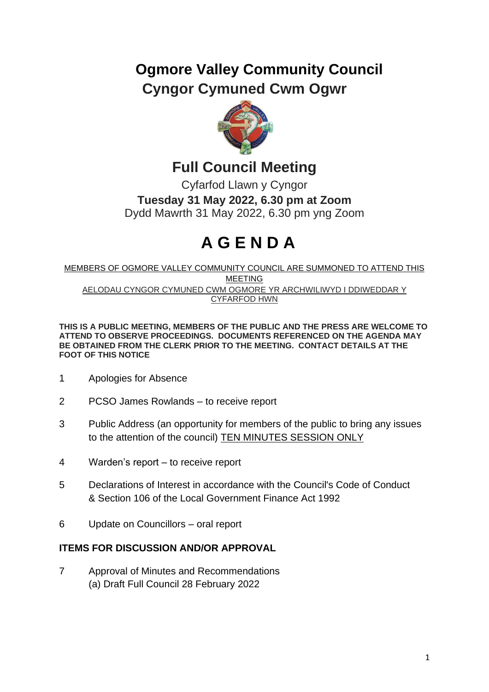## **Ogmore Valley Community Council Cyngor Cymuned Cwm Ogwr**



**Full Council Meeting**

Cyfarfod Llawn y Cyngor **Tuesday 31 May 2022, 6.30 pm at Zoom** Dydd Mawrth 31 May 2022, 6.30 pm yng Zoom

## **A G E N D A**

MEMBERS OF OGMORE VALLEY COMMUNITY COUNCIL ARE SUMMONED TO ATTEND THIS MEETING AELODAU CYNGOR CYMUNED CWM OGMORE YR ARCHWILIWYD I DDIWEDDAR Y CYFARFOD HWN

**THIS IS A PUBLIC MEETING, MEMBERS OF THE PUBLIC AND THE PRESS ARE WELCOME TO ATTEND TO OBSERVE PROCEEDINGS. DOCUMENTS REFERENCED ON THE AGENDA MAY BE OBTAINED FROM THE CLERK PRIOR TO THE MEETING. CONTACT DETAILS AT THE FOOT OF THIS NOTICE**

- 1 Apologies for Absence
- 2 PCSO James Rowlands to receive report
- 3 Public Address (an opportunity for members of the public to bring any issues to the attention of the council) TEN MINUTES SESSION ONLY
- 4 Warden's report to receive report
- 5 Declarations of Interest in accordance with the Council's Code of Conduct & Section 106 of the Local Government Finance Act 1992
- 6 Update on Councillors oral report

## **ITEMS FOR DISCUSSION AND/OR APPROVAL**

- 7 Approval of Minutes and Recommendations
	- (a) Draft Full Council 28 February 2022